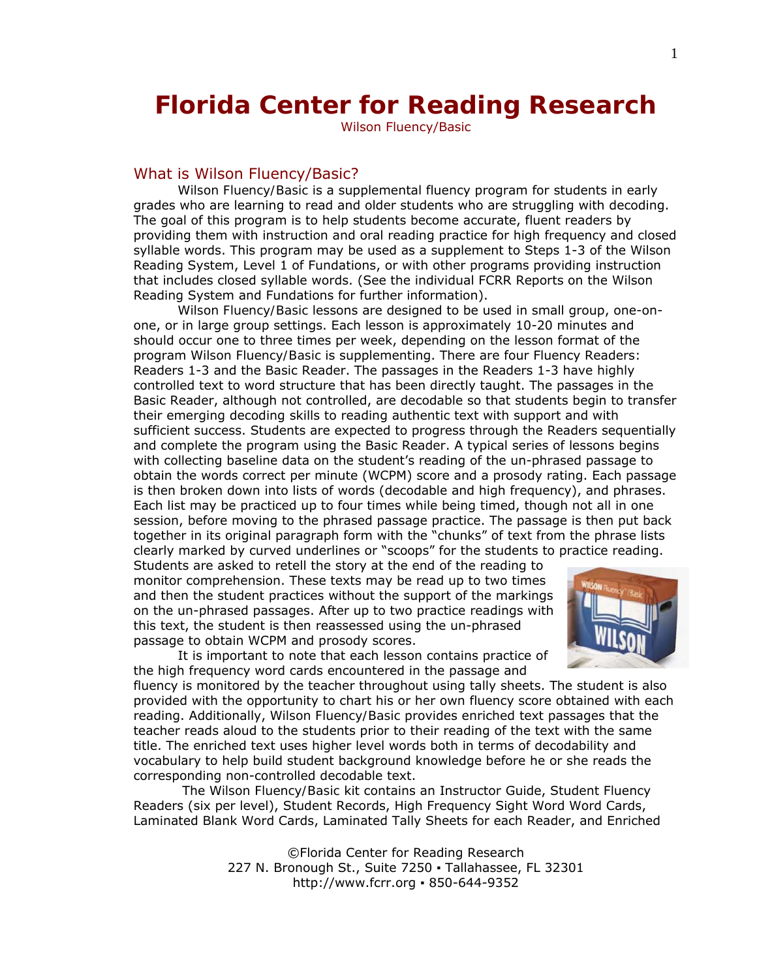# **Florida Center for Reading Research**

Wilson Fluency/Basic

## What is Wilson Fluency/Basic?

*Wilson Fluency/Basic* is a supplemental fluency program for students in early grades who are learning to read and older students who are struggling with decoding. The goal of this program is to help students become accurate, fluent readers by providing them with instruction and oral reading practice for high frequency and closed syllable words. This program may be used as a supplement to Steps 1-3 of the Wilson Reading System, Level 1 of Fundations, or with other programs providing instruction that includes closed syllable words. (See the individual FCRR Reports on the Wilson Reading System and Fundations for further information).

*Wilson Fluency/Basic* lessons are designed to be used in small group, one-onone, or in large group settings. Each lesson is approximately 10-20 minutes and should occur one to three times per week, depending on the lesson format of the program *Wilson Fluency/Basic* is supplementing. There are four Fluency Readers: Readers 1-3 and the Basic Reader. The passages in the Readers 1-3 have highly controlled text to word structure that has been directly taught. The passages in the Basic Reader, although not controlled, are decodable so that students begin to transfer their emerging decoding skills to reading authentic text with support and with sufficient success. Students are expected to progress through the Readers sequentially and complete the program using the Basic Reader. A typical series of lessons begins with collecting baseline data on the student's reading of the un-phrased passage to obtain the words correct per minute (WCPM) score and a prosody rating. Each passage is then broken down into lists of words (decodable and high frequency), and phrases. Each list may be practiced up to four times while being timed, though not all in one session, before moving to the phrased passage practice. The passage is then put back together in its original paragraph form with the "chunks" of text from the phrase lists clearly marked by curved underlines or "scoops" for the students to practice reading.

Students are asked to retell the story at the end of the reading to monitor comprehension. These texts may be read up to two times and then the student practices without the support of the markings on the un-phrased passages. After up to two practice readings with this text, the student is then reassessed using the un-phrased passage to obtain WCPM and prosody scores.



It is important to note that each lesson contains practice of the high frequency word cards encountered in the passage and

fluency is monitored by the teacher throughout using tally sheets. The student is also provided with the opportunity to chart his or her own fluency score obtained with each reading. Additionally, *Wilson Fluency/Basic* provides enriched text passages that the teacher reads aloud to the students prior to their reading of the text with the same title. The enriched text uses higher level words both in terms of decodability and vocabulary to help build student background knowledge before he or she reads the corresponding non-controlled decodable text.

 The *Wilson Fluency/Basic* kit contains an Instructor Guide, Student Fluency Readers (six per level), Student Records, High Frequency Sight Word Word Cards, Laminated Blank Word Cards, Laminated Tally Sheets for each Reader, and Enriched

> ©Florida Center for Reading Research 227 N. Bronough St., Suite 7250 · Tallahassee, FL 32301 http://www.fcrr.org ▪ 850-644-9352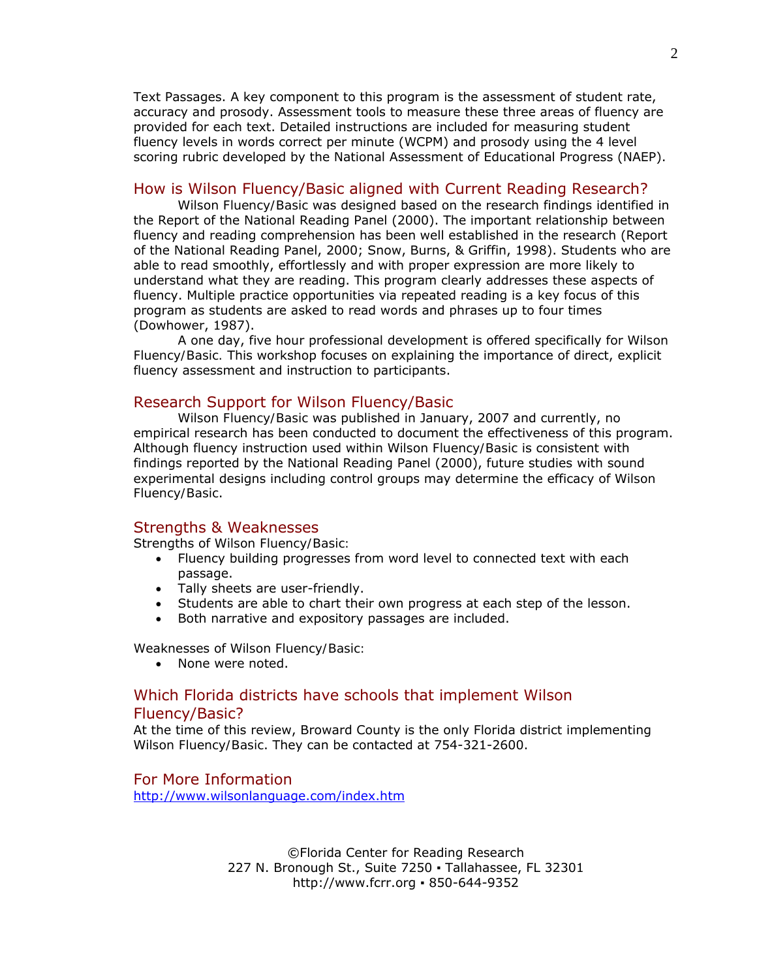Text Passages. A key component to this program is the assessment of student rate, accuracy and prosody. Assessment tools to measure these three areas of fluency are provided for each text. Detailed instructions are included for measuring student fluency levels in words correct per minute (WCPM) and prosody using the 4 level scoring rubric developed by the National Assessment of Educational Progress (NAEP).

### How is Wilson Fluency/Basic aligned with Current Reading Research?

*Wilson Fluency/Basic* was designed based on the research findings identified in the Report of the National Reading Panel (2000). The important relationship between fluency and reading comprehension has been well established in the research (Report of the National Reading Panel, 2000; Snow, Burns, & Griffin, 1998). Students who are able to read smoothly, effortlessly and with proper expression are more likely to understand what they are reading. This program clearly addresses these aspects of fluency. Multiple practice opportunities via repeated reading is a key focus of this program as students are asked to read words and phrases up to four times (Dowhower, 1987).

A one day, five hour professional development is offered specifically for *Wilson Fluency/Basic.* This workshop focuses on explaining the importance of direct, explicit fluency assessment and instruction to participants.

## Research Support for Wilson Fluency/Basic

*Wilson Fluency/Basic* was published in January, 2007 and currently, no empirical research has been conducted to document the effectiveness of this program. Although fluency instruction used within *Wilson Fluency/Basic* is consistent with findings reported by the National Reading Panel (2000), future studies with sound experimental designs including control groups may determine the efficacy of *Wilson Fluency/Basic*.

### Strengths & Weaknesses

Strengths of *Wilson Fluency/Basic:*

- Fluency building progresses from word level to connected text with each passage.
- Tally sheets are user-friendly.
- Students are able to chart their own progress at each step of the lesson.
- Both narrative and expository passages are included.

Weaknesses of *Wilson Fluency/Basic:*

• None were noted.

## Which Florida districts have schools that implement Wilson Fluency/Basic?

At the time of this review, Broward County is the only Florida district implementing *Wilson Fluency/Basic*. They can be contacted at 754-321-2600.

For More Information <http://www.wilsonlanguage.com/index.htm>

> ©Florida Center for Reading Research 227 N. Bronough St., Suite 7250 · Tallahassee, FL 32301 http://www.fcrr.org ▪ 850-644-9352